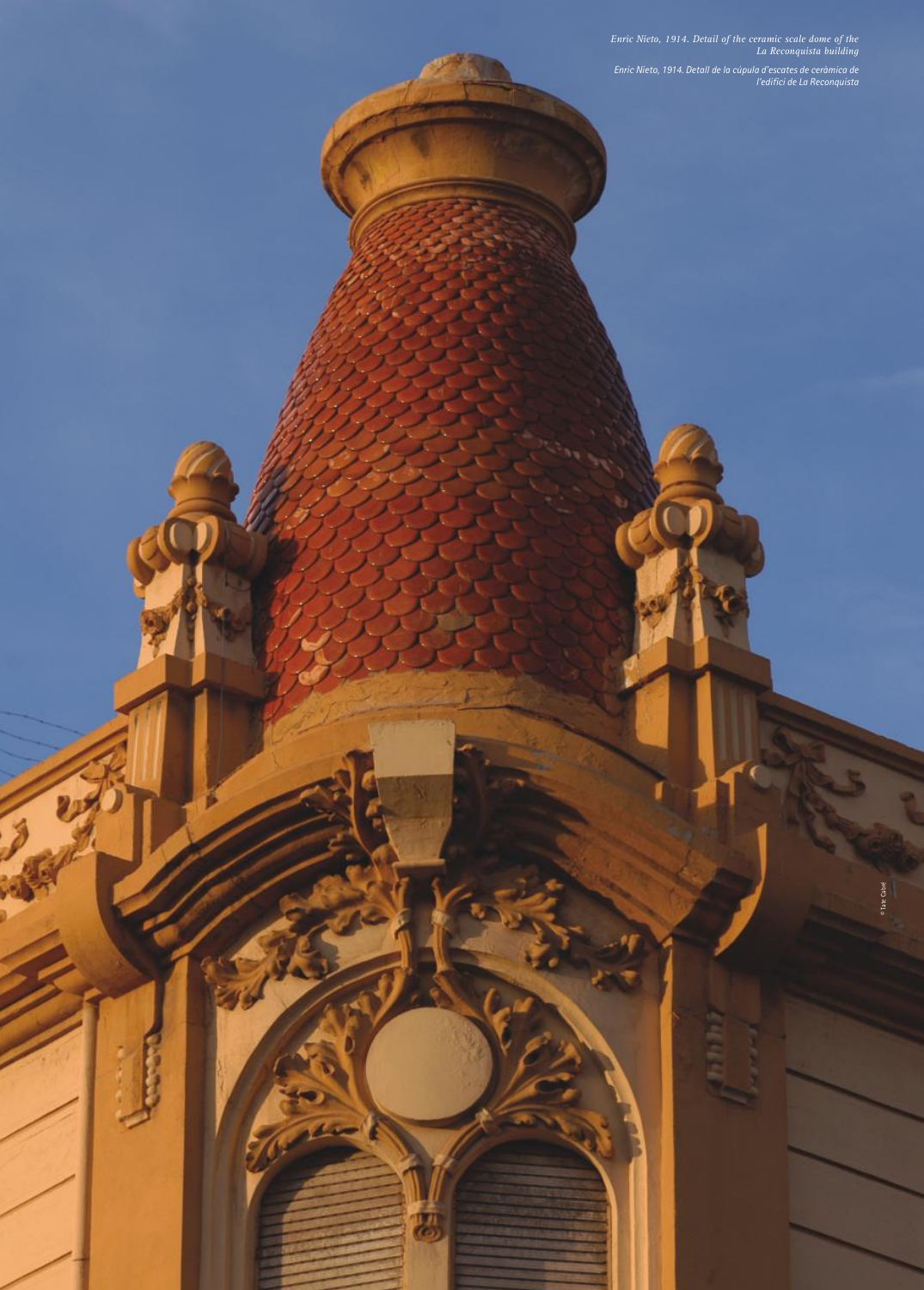2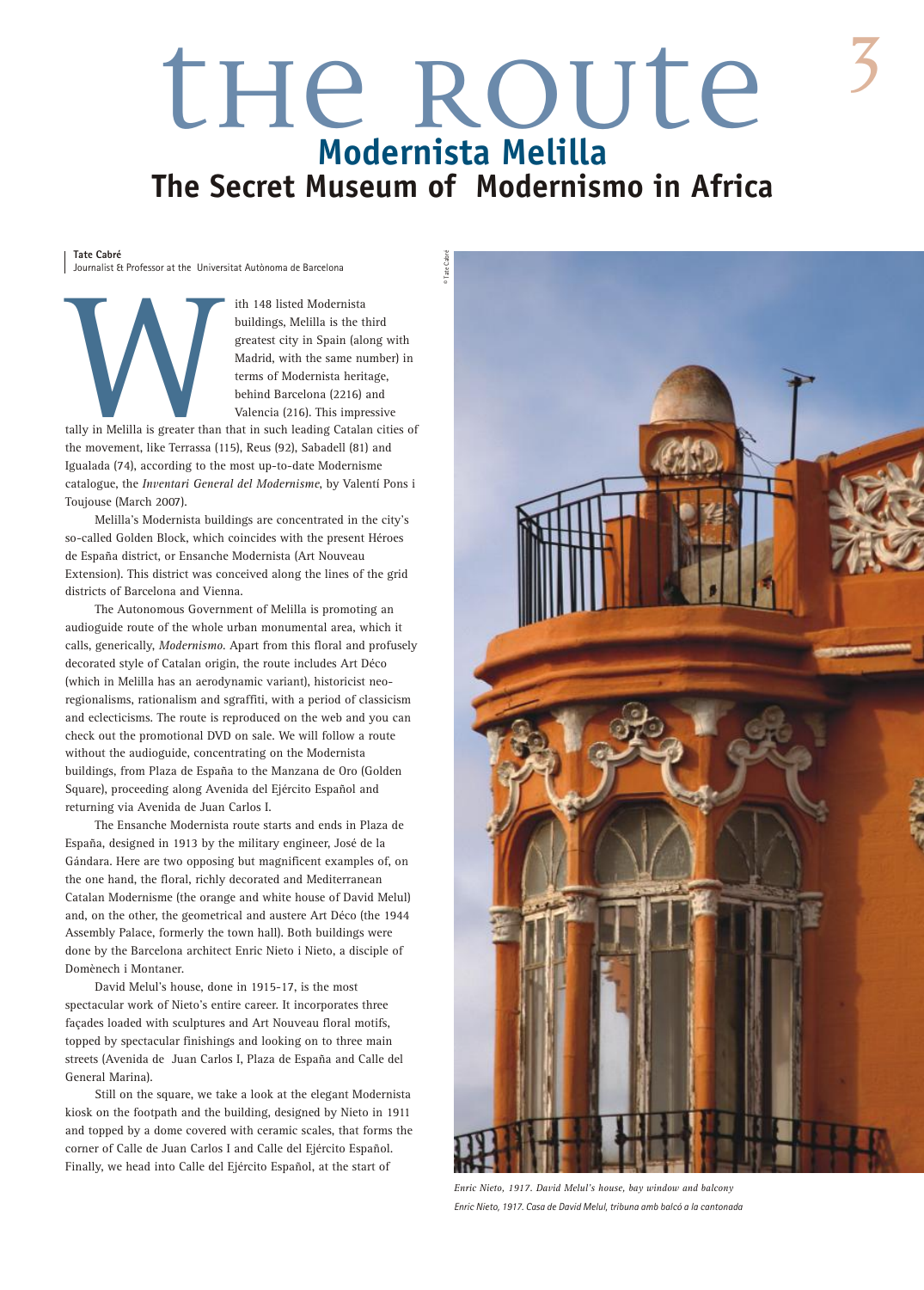### the Route **Modernista Melilla The Secret Museum of Modernismo in Africa**

**Tate Cabré**

Journalist & Professor at the Universitat Autònoma de Barcelona

ith 148 listed Modernista buildings, Melilla is the third greatest city in Spain (along with Madrid, with the same number) in terms of Modernista heritage, behind Barcelona (2216) and Valencia (216). This impressive

Example 18 and the movement, like Terrassa (1 tally in Melilla is greater than that in such leading Catalan cities of the movement, like Terrassa (115), Reus (92), Sabadell (81) and Igualada (74), according to the most up-to-date Modernisme catalogue, the *Inventari General del Modernisme*, by Valentí Pons i Toujouse (March 2007).

Melilla's Modernista buildings are concentrated in the city's so-called Golden Block, which coincides with the present Héroes de España district, or Ensanche Modernista (Art Nouveau Extension). This district was conceived along the lines of the grid districts of Barcelona and Vienna.

The Autonomous Government of Melilla is promoting an audioguide route of the whole urban monumental area, which it calls, generically, *Modernismo*. Apart from this floral and profusely decorated style of Catalan origin, the route includes Art Déco (which in Melilla has an aerodynamic variant), historicist neoregionalisms, rationalism and sgraffiti, with a period of classicism and eclecticisms. The route is reproduced on the web and you can check out the promotional DVD on sale. We will follow a route without the audioguide, concentrating on the Modernista buildings, from Plaza de España to the Manzana de Oro (Golden Square), proceeding along Avenida del Ejército Español and returning via Avenida de Juan Carlos I.

The Ensanche Modernista route starts and ends in Plaza de España, designed in 1913 by the military engineer, José de la Gándara. Here are two opposing but magnificent examples of, on the one hand, the floral, richly decorated and Mediterranean Catalan Modernisme (the orange and white house of David Melul) and, on the other, the geometrical and austere Art Déco (the 1944 Assembly Palace, formerly the town hall). Both buildings were done by the Barcelona architect Enric Nieto i Nieto, a disciple of Domènech i Montaner.

David Melul's house, done in 1915-17, is the most spectacular work of Nieto's entire career. It incorporates three façades loaded with sculptures and Art Nouveau floral motifs, topped by spectacular finishings and looking on to three main streets (Avenida de Juan Carlos I, Plaza de España and Calle del General Marina).

Still on the square, we take a look at the elegant Modernista kiosk on the footpath and the building, designed by Nieto in 1911 and topped by a dome covered with ceramic scales, that forms the corner of Calle de Juan Carlos I and Calle del Ejército Español. Finally, we head into Calle del Ejército Español, at the start of



*Enric Nieto, 1917. David Melul's house, bay window and balcony Enric Nieto, 1917. Casa de David Melul, tribuna amb balcó a la cantonada*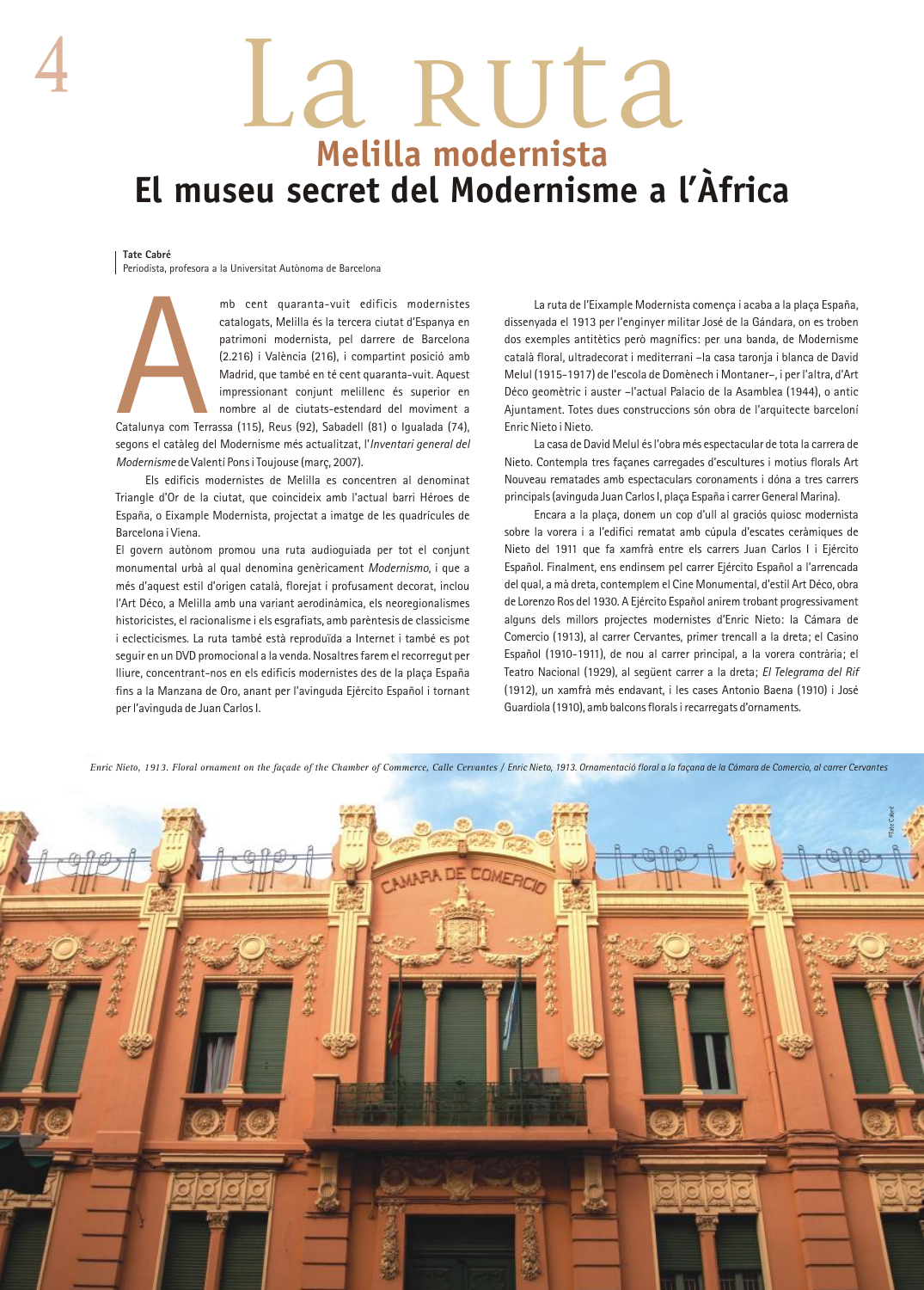## La RULa **Melilla modernista El museu secret del Modernisme a l'Àfrica**

#### **Tate Cabré**

Periodista, profesora a la Universitat Autònoma de Barcelona

Catalunya com Ter

mb cent quaranta-vuit edificis modernistes catalogats, Melilla és la tercera ciutat d'Espanya en patrimoni modernista, pel darrere de Barcelona (2.216) i València (216), i compartint posició amb Madrid, que també en té cent quaranta-vuit. Aquest impressionant conjunt melillenc és superior en nombre al de ciutats-estendard del moviment a

Catalunya com Terrassa (115), Reus (92), Sabadell (81) o Igualada (74), segons el catàleg del Modernisme més actualitzat, l'*Inventari general del Modernisme* de Valentí Pons i Toujouse (març, 2007).

Els edificis modernistes de Melilla es concentren al denominat Triangle d'Or de la ciutat, que coincideix amb l'actual barri Héroes de España, o Eixample Modernista, projectat a imatge de les quadrícules de Barcelona i Viena.

El govern autònom promou una ruta audioguiada per tot el conjunt monumental urbà al qual denomina genèricament *Modernismo*, i que a més d'aquest estil d'origen català, florejat i profusament decorat, inclou l'Art Déco, a Melilla amb una variant aerodinàmica, els neoregionalismes historicistes, el racionalisme i els esgrafiats, amb parèntesis de classicisme i eclecticismes. La ruta també està reproduïda a Internet i també es pot seguir en un DVD promocional a la venda. Nosaltres farem el recorregut per lliure, concentrant-nos en els edificis modernistes des de la plaça España fins a la Manzana de Oro, anant per l'avinguda Ejército Español i tornant per l'avinguda de Juan Carlos I.

La ruta de l'Eixample Modernista comença i acaba a la plaça España, dissenyada el 1913 per l'enginyer militar José de la Gándara, on es troben dos exemples antitètics però magnífics: per una banda, de Modernisme català floral, ultradecorat i mediterrani –la casa taronja i blanca de David Melul (1915-1917) de l'escola de Domènech i Montaner–, i per l'altra, d'Art Déco geomètric i auster –l'actual Palacio de la Asamblea (1944), o antic Ajuntament. Totes dues construccions són obra de l'arquitecte barceloní Enric Nieto i Nieto.

La casa de David Melul és l'obra més espectacular de tota la carrera de Nieto. Contempla tres façanes carregades d'escultures i motius florals Art Nouveau rematades amb espectaculars coronaments i dóna a tres carrers principals (avinguda Juan Carlos I, plaça España i carrer General Marina).

Encara a la plaça, donem un cop d'ull al graciós quiosc modernista sobre la vorera i a l'edifici rematat amb cúpula d'escates ceràmiques de Nieto del 1911 que fa xamfrà entre els carrers Juan Carlos I i Ejército Español. Finalment, ens endinsem pel carrer Ejército Español a l'arrencada del qual, a mà dreta, contemplem el Cine Monumental, d'estil Art Déco, obra de Lorenzo Ros del 1930. A Ejército Español anirem trobant progressivament alguns dels millors projectes modernistes d'Enric Nieto: la Cámara de Comercio (1913), al carrer Cervantes, primer trencall a la dreta; el Casino Español (1910-1911), de nou al carrer principal, a la vorera contrària; el Teatro Nacional (1929), al següent carrer a la dreta; *El Telegrama del Rif* (1912), un xamfrà més endavant, i les cases Antonio Baena (1910) i José Guardiola (1910), amb balcons florals i recarregats d'ornaments.

*Enric Nieto, 1913. Floral ornament on the façade of the Chamber of Commerce, Calle Cervantes / Enric Nieto, 1913. Ornamentació floral a la façana de la Cámara de Comercio, al carrer Cervantes*

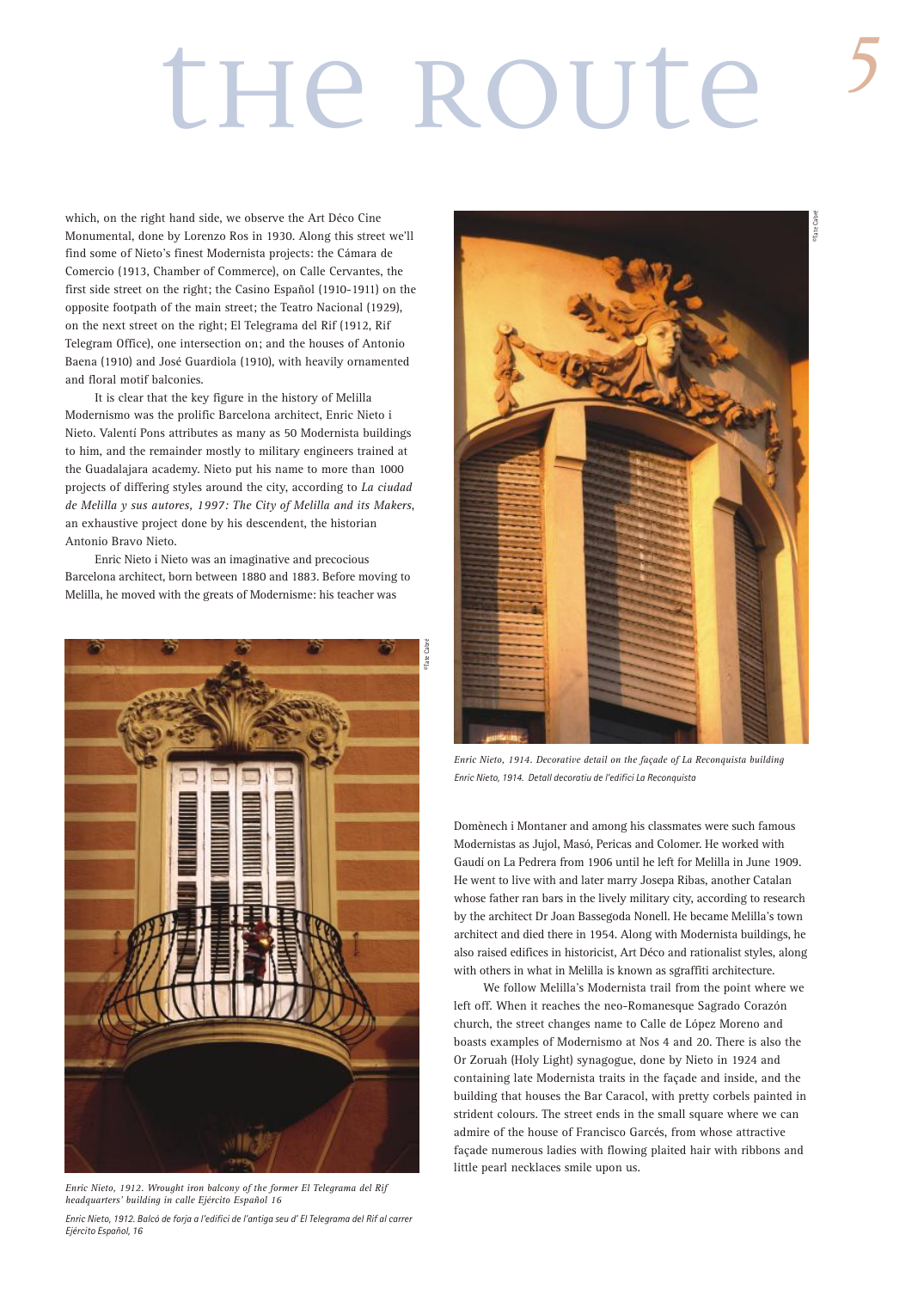## the ROUte

which, on the right hand side, we observe the Art Déco Cine Monumental, done by Lorenzo Ros in 1930. Along this street we'll find some of Nieto's finest Modernista projects: the Cámara de Comercio (1913, Chamber of Commerce), on Calle Cervantes, the first side street on the right; the Casino Español (1910-1911) on the opposite footpath of the main street; the Teatro Nacional (1929), on the next street on the right; El Telegrama del Rif (1912, Rif Telegram Office), one intersection on; and the houses of Antonio Baena (1910) and José Guardiola (1910), with heavily ornamented and floral motif balconies.

It is clear that the key figure in the history of Melilla Modernismo was the prolific Barcelona architect, Enric Nieto i Nieto. Valentí Pons attributes as many as 50 Modernista buildings to him, and the remainder mostly to military engineers trained at the Guadalajara academy. Nieto put his name to more than 1000 projects of differing styles around the city, according to *La ciudad de Melilla y sus autores, 1997: The City of Melilla and its Makers*, an exhaustive project done by his descendent, the historian Antonio Bravo Nieto.

Enric Nieto i Nieto was an imaginative and precocious Barcelona architect, born between 1880 and 1883. Before moving to Melilla, he moved with the greats of Modernisme: his teacher was



*Enric Nieto, 1912. Wrought iron balcony of the former El Telegrama del Rif headquarters' building in calle Ejército Español 16*



*Enric Nieto, 1914. Decorative detail on the façade of La Reconquista building Enric Nieto, 1914. Detall decoratiu de l'edifici La Reconquista*

Domènech i Montaner and among his classmates were such famous Modernistas as Jujol, Masó, Pericas and Colomer. He worked with Gaudí on La Pedrera from 1906 until he left for Melilla in June 1909. He went to live with and later marry Josepa Ribas, another Catalan whose father ran bars in the lively military city, according to research by the architect Dr Joan Bassegoda Nonell. He became Melilla's town architect and died there in 1954. Along with Modernista buildings, he also raised edifices in historicist, Art Déco and rationalist styles, along with others in what in Melilla is known as sgraffiti architecture.

We follow Melilla's Modernista trail from the point where we left off. When it reaches the neo-Romanesque Sagrado Corazón church, the street changes name to Calle de López Moreno and boasts examples of Modernismo at Nos 4 and 20. There is also the Or Zoruah (Holy Light) synagogue, done by Nieto in 1924 and containing late Modernista traits in the façade and inside, and the building that houses the Bar Caracol, with pretty corbels painted in strident colours. The street ends in the small square where we can admire of the house of Francisco Garcés, from whose attractive façade numerous ladies with flowing plaited hair with ribbons and little pearl necklaces smile upon us.

*Enric Nieto, 1912. Balcó de forja a l'edifici de l'antiga seu d' El Telegrama del Rif al carrer Ejército Español, 16*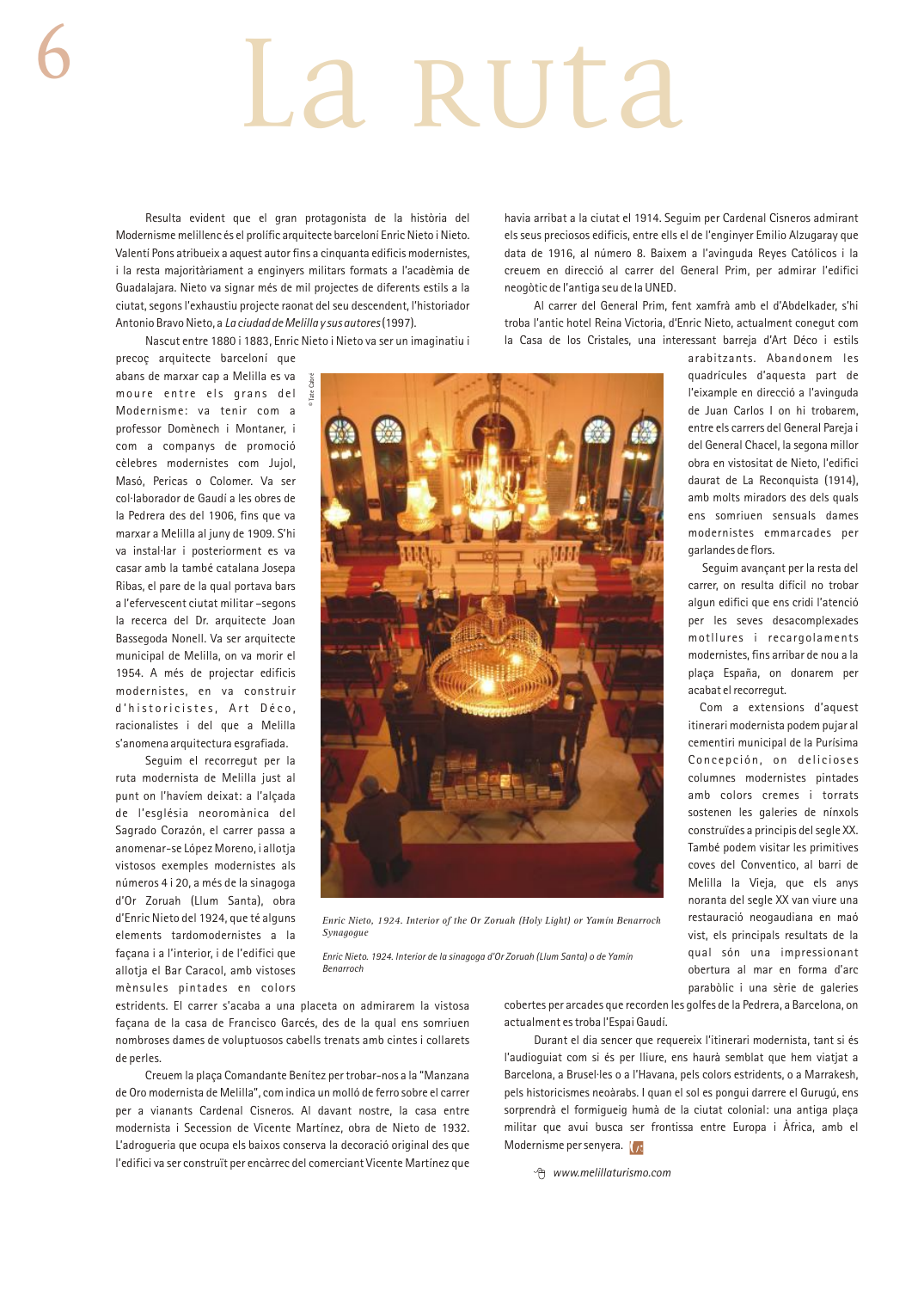# a ruta

Resulta evident que el gran protagonista de la història del Modernisme melillenc és el prolífic arquitecte barceloní Enric Nieto i Nieto. Valentí Pons atribueix a aquest autor fins a cinquanta edificis modernistes, i la resta majoritàriament a enginyers militars formats a l'acadèmia de Guadalajara. Nieto va signar més de mil projectes de diferents estils a la ciutat, segons l'exhaustiu projecte raonat del seu descendent, l'historiador Antonio Bravo Nieto, a *La ciudad de Melilla y sus autores*(1997).

Nascut entre 1880 i 1883, Enric Nieto i Nieto va ser un imaginatiu i

precoç arquitecte barceloní que abans de marxar cap a Melilla es va moure entre els grans del Modernisme: va tenir com a professor Domènech i Montaner, i com a companys de promoció cèlebres modernistes com Jujol, Masó, Pericas o Colomer. Va ser col·laborador de Gaudí a les obres de la Pedrera des del 1906, fins que va marxar a Melilla al juny de 1909. S'hi va instal·lar i posteriorment es va casar amb la també catalana Josepa Ribas, el pare de la qual portava bars a l'efervescent ciutat militar –segons la recerca del Dr. arquitecte Joan Bassegoda Nonell. Va ser arquitecte municipal de Melilla, on va morir el 1954. A més de projectar edificis modernistes, en va construir d'historicistes, Art Déco, racionalistes i del que a Melilla s'anomena arquitectura esgrafiada.

Seguim el recorregut per la ruta modernista de Melilla just al punt on l'havíem deixat: a l'alçada de l'església neoromànica del Sagrado Corazón, el carrer passa a anomenar-se López Moreno, i allotja vistosos exemples modernistes als números 4 i 20, a més de la sinagoga d'Or Zoruah (Llum Santa), obra d'Enric Nieto del 1924, que té alguns elements tardomodernistes a la façana i a l'interior, i de l'edifici que allotja el Bar Caracol, amb vistoses mènsules pintades en colors

havia arribat a la ciutat el 1914. Seguim per Cardenal Cisneros admirant els seus preciosos edificis, entre ells el de l'enginyer Emilio Alzugaray que data de 1916, al número 8. Baixem a l'avinguda Reyes Católicos i la creuem en direcció al carrer del General Prim, per admirar l'edifici neogòtic de l'antiga seu de la UNED.

Al carrer del General Prim, fent xamfrà amb el d'Abdelkader, s'hi troba l'antic hotel Reina Victoria, d'Enric Nieto, actualment conegut com la Casa de los Cristales, una interessant barreja d'Art Déco i estils



*Enric Nieto, 1924. Interior of the Or Zoruah (Holy Light) or Yamín Benarroch Synagogue*

*Enric Nieto. 1924. Interior de la sinagoga d'Or Zoruah (Llum Santa) o de Yamín Benarroch*

estridents. El carrer s'acaba a una placeta on admirarem la vistosa façana de la casa de Francisco Garcés, des de la qual ens somriuen nombroses dames de voluptuosos cabells trenats amb cintes i collarets de perles.

Creuem la plaça Comandante Benítez per trobar-nos a la "Manzana de Oro modernista de Melilla", com indica un molló de ferro sobre el carrer per a vianants Cardenal Cisneros. Al davant nostre, la casa entre modernista i Secession de Vicente Martínez, obra de Nieto de 1932. L'adrogueria que ocupa els baixos conserva la decoració original des que l'edifici va ser construït per encàrrec del comerciant Vicente Martínez que

cobertes per arcades que recorden les golfes de la Pedrera, a Barcelona, on actualment es troba l'Espai Gaudí.

Durant el dia sencer que requereix l'itinerari modernista, tant si és l'audioguiat com si és per lliure, ens haurà semblat que hem viatjat a Barcelona, a Brusel·les o a l'Havana, pels colors estridents, o a Marrakesh, pels historicismes neoàrabs. I quan el sol es pongui darrere el Gurugú, ens sorprendrà el formigueig humà de la ciutat colonial: una antiga plaça militar que avui busca ser frontissa entre Europa i Àfrica, amb el Modernisme per senyera.  $\sqrt{x}$ 

*www.melillaturismo.com*

arabitzants. Abandonem les quadrícules d'aquesta part de l'eixample en direcció a l'avinguda de Juan Carlos I on hi trobarem, entre els carrers del General Pareja i del General Chacel, la segona millor obra en vistositat de Nieto, l'edifici daurat de La Reconquista (1914), amb molts miradors des dels quals ens somriuen sensuals dames modernistes emmarcades per garlandes de flors.

Seguim avançant per la resta del carrer, on resulta difícil no trobar algun edifici que ens cridi l'atenció per les seves desacomplexades motllures i recargolaments modernistes, fins arribar de nou a la plaça España, on donarem per acabat el recorregut.

Com a extensions d'aquest itinerari modernista podem pujar al cementiri municipal de la Purísima Concepción, on delicioses columnes modernistes pintades amb colors cremes i torrats sostenen les galeries de nínxols construïdes a principis del segle XX. També podem visitar les primitives coves del Conventico, al barri de Melilla la Vieja, que els anys noranta del segle XX van viure una restauració neogaudiana en maó vist, els principals resultats de la qual són una impressionant obertura al mar en forma d'arc parabòlic i una sèrie de galeries